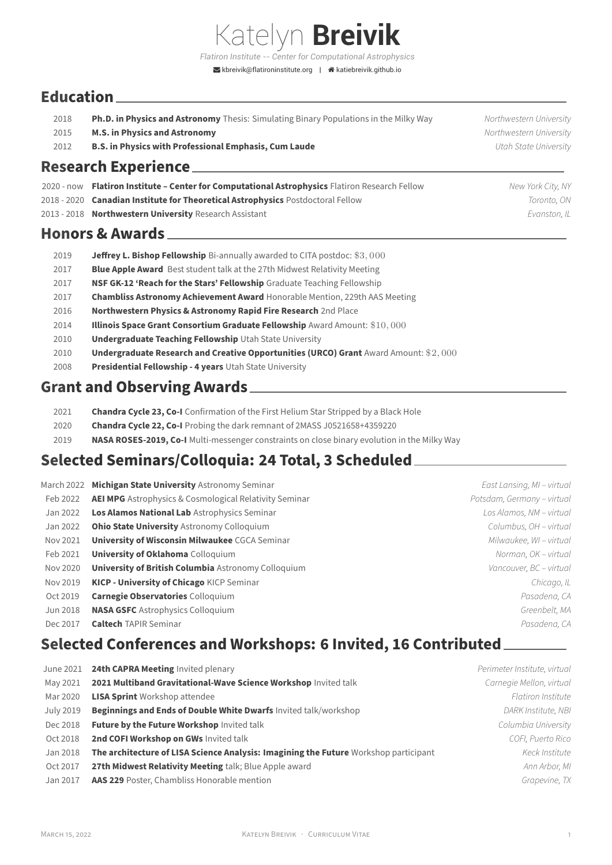*Flatiron Institute -- Center for Computational Astrophysics*  $\blacktriangleright$ [kbreivik@flatironinstitute.org](mailto:kbreivik@flatironinstitute.org) |  $\blacktriangleleft$ [katiebreivik.github.io](http://katiebreivik.github.io)

Katelyn **Breivik**

## **Education**

| Ph.D. in Physics and Astronomy Thesis: Simulating Binary Populations in the Milky Way<br>2018 |  |
|-----------------------------------------------------------------------------------------------|--|
|-----------------------------------------------------------------------------------------------|--|

- 2015 **M.S. in Physics and Astronomy** *Northwestern University*
- 2012 **B.S. in Physics with Professional Emphasis, Cum Laude** *Utah State University*

## **Research Experience**

- 2020 ‑ now **Flatiron Institute Center for Computational Astrophysics** Flatiron Research Fellow *New York City, NY*
- 2018 ‑ 2020 **Canadian Institute for Theoretical Astrophysics** Postdoctoral Fellow *Toronto, ON*
- 2013 ‑ 2018 **Northwestern University** Research Assistant *Evanston, IL*

## **Honors & Awards**

| 2019 | <b>Jeffrey L. Bishop Fellowship</b> Bi-annually awarded to CITA postdoc: \$3,000            |
|------|---------------------------------------------------------------------------------------------|
| 2017 | <b>Blue Apple Award</b> Best student talk at the 27th Midwest Relativity Meeting            |
| 2017 | NSF GK-12 'Reach for the Stars' Fellowship Graduate Teaching Fellowship                     |
| 2017 | <b>Chambliss Astronomy Achievement Award</b> Honorable Mention, 229th AAS Meeting           |
| 2016 | Northwestern Physics & Astronomy Rapid Fire Research 2nd Place                              |
| 2014 | <b>Illinois Space Grant Consortium Graduate Fellowship</b> Award Amount: \$10,000           |
| 2010 | <b>Undergraduate Teaching Fellowship Utah State University</b>                              |
| 2010 | <b>Undergraduate Research and Creative Opportunities (URCO) Grant Award Amount: \$2,000</b> |
| 2008 | <b>Presidential Fellowship - 4 years</b> Utah State University                              |
|      |                                                                                             |

## **Grant and Observing Awards**

| 2021 |  |  |  | <b>Chandra Cycle 23, Co-I</b> Confirmation of the First Helium Star Stripped by a Black Hole |
|------|--|--|--|----------------------------------------------------------------------------------------------|
|------|--|--|--|----------------------------------------------------------------------------------------------|

- 2020 **Chandra Cycle 22, Co‑I** Probing the dark remnant of 2MASS J0521658+4359220
- 2019 **NASA ROSES‑2019, Co‑I** Multi‑messenger constraints on close binary evolution in the Milky Way

## **Selected Seminars/Colloquia: 24 Total, 3 Scheduled**

|          | March 2022 Michigan State University Astronomy Seminar        | East Lansing, MI - virtual |
|----------|---------------------------------------------------------------|----------------------------|
| Feb 2022 | <b>AEI MPG</b> Astrophysics & Cosmological Relativity Seminar | Potsdam, Germany - virtual |
| Jan 2022 | <b>Los Alamos National Lab Astrophysics Seminar</b>           | Los Alamos, NM - virtual   |
| Jan 2022 | <b>Ohio State University Astronomy Colloquium</b>             | Columbus, OH - virtual     |
| Nov 2021 | <b>University of Wisconsin Milwaukee CGCA Seminar</b>         | Milwaukee, WI - virtual    |
| Feb 2021 | <b>University of Oklahoma</b> Colloquium                      | Norman, OK - virtual       |
| Nov 2020 | University of British Columbia Astronomy Colloquium           | Vancouver, BC - virtual    |
| Nov 2019 | <b>KICP - University of Chicago KICP Seminar</b>              | Chicago, IL                |
| Oct 2019 | <b>Carnegie Observatories Colloquium</b>                      | Pasadena, CA               |
| Jun 2018 | <b>NASA GSFC</b> Astrophysics Colloquium                      | Greenbelt, MA              |
| Dec 2017 | <b>Caltech TAPIR Seminar</b>                                  | Pasadena, CA               |
|          |                                                               |                            |

## **Selected Conferences and Workshops: 6 Invited, 16 Contributed**

| June 2021 | 24th CAPRA Meeting Invited plenary                                                   | Perimeter Institute, virtual |
|-----------|--------------------------------------------------------------------------------------|------------------------------|
| May 2021  | 2021 Multiband Gravitational-Wave Science Workshop Invited talk                      | Carnegie Mellon, virtual     |
| Mar 2020  | <b>LISA Sprint Workshop attendee</b>                                                 | <b>Flatiron Institute</b>    |
| July 2019 | <b>Beginnings and Ends of Double White Dwarfs</b> Invited talk/workshop              | DARK Institute, NBI          |
| Dec 2018  | <b>Future by the Future Workshop Invited talk</b>                                    | Columbia University          |
| Oct 2018  | 2nd COFI Workshop on GWs Invited talk                                                | COFI, Puerto Rico            |
| Jan 2018  | The architecture of LISA Science Analysis: Imagining the Future Workshop participant | Keck Institute               |
| Oct 2017  | 27th Midwest Relativity Meeting talk; Blue Apple award                               | Ann Arbor, MI                |
| Jan 2017  | <b>AAS 229</b> Poster, Chambliss Honorable mention                                   | Grapevine, TX                |
|           |                                                                                      |                              |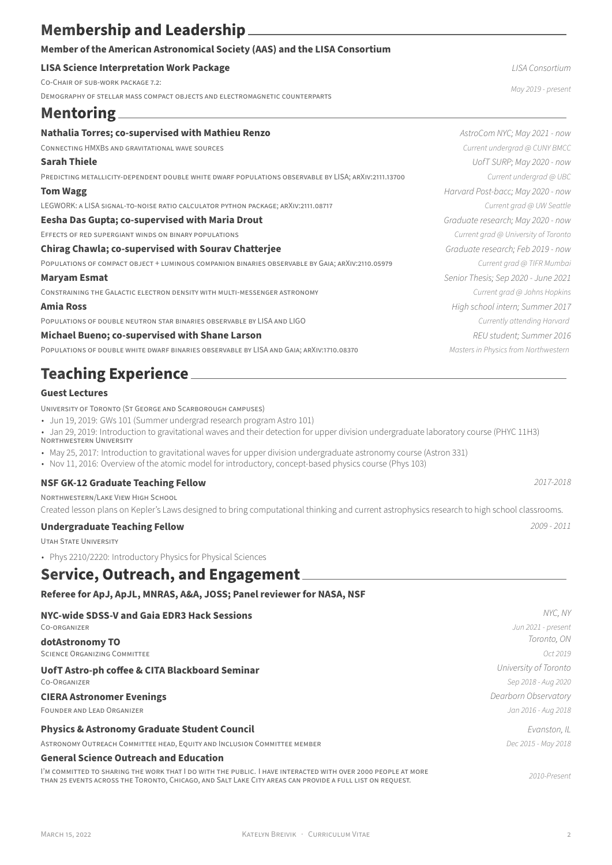## **Membership and Leadership**

### **Member of the American Astronomical Society (AAS) and the LISA Consortium**

### **LISA Science Interpretation Work Package** *LISA Consortium*

CO‑CHAiR OF SUB‑WORK PACKAGE 7.2:

DEMOGRAPHY OF STELLAR MASS COMPACT OBJECTS AND ELECTROMAGNETiC COUNTERPARTS

## **Mentoring**

#### **Nathalia Torres: co-supervised with Mathieu Renzo** *AstroCom NYC; May 2021 - now*

CONNECTiNG HMXBS AND GRAViTATiONAL WAVE SOURCES *Current undergrad @ CUNY BMCC*

PREDiCTiNG METALLiCiTY‑DEPENDENT DOUBLE WHiTE DWARF POPULATiONS OBSERVABLE BY LISA; ARXiV:2111.13700 *Current undergrad @ UBC*

LEGWORK: A LISA SIGNAL-TO-NOISE RATIO CALCULATOR PYTHON PACKAGE; ARXIV:2111.08717 *Current grad @ UW Seattle* 

#### **Eesha Das Gupta; co‑supervised with Maria Drout** *Graduate research; May 2020 ‑ now*

EFFECTS OF RED SUPERGiANT WiNDS ON BiNARY POPULATiONS *Current grad @ University of Toronto*

#### **Chirag Chawla; co‑supervised with Sourav Chatterjee** *Graduate research; Feb 2019 ‑ now*

POPULATiONS OF COMPACT OBJECT + LUMiNOUS COMPANiON BiNARiES OBSERVABLE BY GAiA; ARXiV:2110.05979 *Current grad @ TIFR Mumbai*

CONSTRAINING THE GALACTIC ELECTRON DENSITY WITH MULTI–MESSENGER ASTRONOMY *Current and a Johns Hopkins* 

POPULATiONS OF DOUBLE NEUTRON STAR BiNARiES OBSERVABLE BY LISA AND LIGO *Currently attending Harvard*

#### **Michael Bueno; co-supervised with Shane Larson** *REU student; Summer 2016 REU student; Summer 2016*

POPULATiONS OF DOUBLE WHiTE DWARF BiNARiES OBSERVABLE BY LISA AND GAiA; ARXiV:1710.08370 *Masters in Physics from Northwestern*

## **Teaching Experience**

### **Guest Lectures**

UNiVERSiTY OF TORONTO (ST GEORGE AND SCARBOROUGH CAMPUSES)

• Jun 19, 2019: GWs 101 (Summer undergrad research program Astro 101)

• Jan 29, 2019: Introduction to gravitational waves and their detection for upper division undergraduate laboratory course (PHYC 11H3) NORTHWESTERN UNiVERSiTY

- May 25, 2017: Introduction to gravitational waves for upper division undergraduate astronomy course (Astron 331)
- Nov 11, 2016: Overview of the atomic model for introductory, concept-based physics course (Phys 103)

### **NSF GK‑12 Graduate Teaching Fellow** *2017‑2018*

NORTHWESTERN/LAKE ViEW HiGH SCHOOL

Created lesson plans on Kepler's Laws designed to bring computational thinking and current astrophysics research to high school classrooms.

### **Undergraduate Teaching Fellow** *2009 ‑ 2011*

UTAH STATE UNiVERSiTY

• Phys 2210/2220: Introductory Physics for Physical Sciences

## **Service, Outreach, and Engagement**

### **Referee for ApJ, ApJL, MNRAS, A&A, JOSS; Panel reviewer for NASA, NSF**

| NYC-wide SDSS-V and Gaia EDR3 Hack Sessions                                                                                                                                                                              | NYC. NY               |
|--------------------------------------------------------------------------------------------------------------------------------------------------------------------------------------------------------------------------|-----------------------|
| CO-ORGANIZER                                                                                                                                                                                                             | Jun 2021 - present    |
| dotAstronomy TO                                                                                                                                                                                                          | Toronto, ON           |
| <b>SCIENCE ORGANIZING COMMITTEE</b>                                                                                                                                                                                      | Oct 2019              |
| UofT Astro-ph coffee & CITA Blackboard Seminar                                                                                                                                                                           | University of Toronto |
| CO-ORGANIZER                                                                                                                                                                                                             | Sep 2018 - Aug 2020   |
| <b>CIERA Astronomer Evenings</b>                                                                                                                                                                                         | Dearborn Observatory  |
| FOUNDER AND LEAD ORGANIZER                                                                                                                                                                                               | Jan 2016 - Aug 2018   |
| <b>Physics &amp; Astronomy Graduate Student Council</b>                                                                                                                                                                  | Evanston, IL          |
| ASTRONOMY OUTREACH COMMITTEE HEAD, EQUITY AND INCLUSION COMMITTEE MEMBER                                                                                                                                                 | Dec 2015 - May 2018   |
| <b>General Science Outreach and Education</b>                                                                                                                                                                            |                       |
| I'M COMMITTED TO SHARING THE WORK THAT I DO WITH THE PUBLIC. I HAVE INTERACTED WITH OVER 2000 PEOPLE AT MORE<br>THAN 25 EVENTS ACROSS THE TORONTO, CHICAGO, AND SALT LAKE CITY AREAS CAN PROVIDE A FULL LIST ON REQUEST. | 2010-Present          |

*May 2019 ‑ present*

**Sarah Thiele** *UofT SURP; May 2020 ‑ now* **Tom Wagg** *Harvard Post‑bacc; May 2020 ‑ now* **Maryam Esmat** *Senior Thesis; Sep 2020 ‑ June 2021* **Amia Ross** *High school intern; Summer 2017*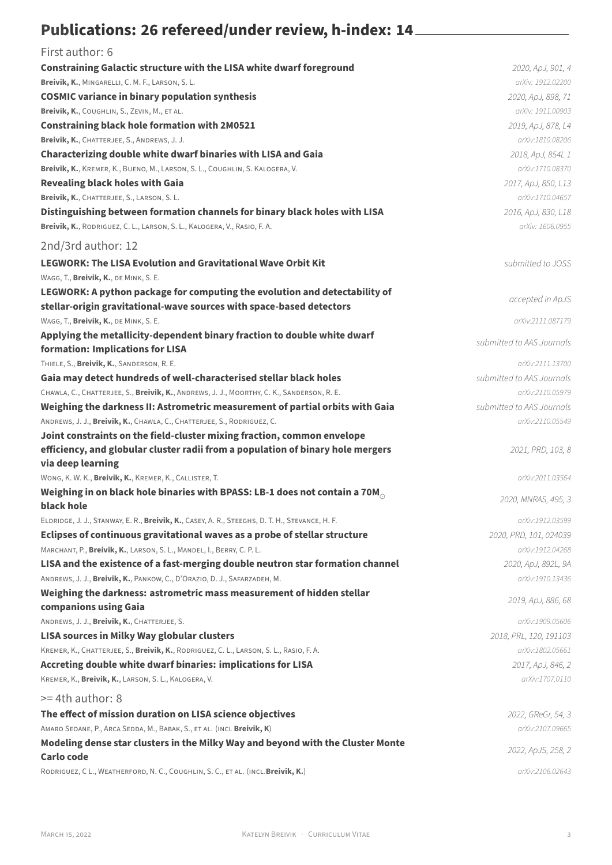# Publications: 26 refereed/under review, h-index: 14

| First author: 6                                                                                                                                    |                           |
|----------------------------------------------------------------------------------------------------------------------------------------------------|---------------------------|
| <b>Constraining Galactic structure with the LISA white dwarf foreground</b>                                                                        | 2020, ApJ, 901, 4         |
| Breivik, K., MINGARELLI, C. M. F., LARSON, S. L.                                                                                                   | arXiv: 1912.02200         |
| <b>COSMIC variance in binary population synthesis</b>                                                                                              | 2020, ApJ, 898, 71        |
| Breivik, K., COUGHLIN, S., ZEVIN, M., ET AL.                                                                                                       | arXiv: 1911.00903         |
| <b>Constraining black hole formation with 2M0521</b>                                                                                               | 2019, ApJ, 878, L4        |
| Breivik, K., CHATTERJEE, S., ANDREWS, J. J.                                                                                                        | arXiv:1810.08206          |
| <b>Characterizing double white dwarf binaries with LISA and Gaia</b>                                                                               | 2018, ApJ, 854L 1         |
| Breivik, K., KREMER, K., BUENO, M., LARSON, S. L., COUGHLIN, S. KALOGERA, V.                                                                       | arXiv:1710.08370          |
| <b>Revealing black holes with Gaia</b>                                                                                                             | 2017, ApJ, 850, L13       |
| Breivik, K., CHATTERJEE, S., LARSON, S. L.                                                                                                         | arXiv:1710.04657          |
| Distinguishing between formation channels for binary black holes with LISA                                                                         | 2016, ApJ, 830, L18       |
| Breivik, K., RODRIGUEZ, C. L., LARSON, S. L., KALOGERA, V., RASIO, F. A.                                                                           | arXiv: 1606.0955          |
| 2nd/3rd author: 12                                                                                                                                 |                           |
| <b>LEGWORK: The LISA Evolution and Gravitational Wave Orbit Kit</b>                                                                                | submitted to JOSS         |
| WAGG, T., Breivik, K., DE MINK, S. E.                                                                                                              |                           |
| LEGWORK: A python package for computing the evolution and detectability of<br>stellar-origin gravitational-wave sources with space-based detectors | accepted in ApJS          |
| WAGG, T., Breivik, K., DE MINK, S. E.                                                                                                              | arXiv:2111.087179         |
| Applying the metallicity-dependent binary fraction to double white dwarf                                                                           |                           |
| formation: Implications for LISA                                                                                                                   | submitted to AAS Journals |
| THIELE, S., Breivik, K., SANDERSON, R. E.                                                                                                          | arXiv:2111.13700          |
| Gaia may detect hundreds of well-characterised stellar black holes                                                                                 | submitted to AAS Journals |
| CHAWLA, C., CHATTERJEE, S., Breivik, K., ANDREWS, J. J., MOORTHY, C. K., SANDERSON, R. E.                                                          | arXiv:2110.05979          |
| Weighing the darkness II: Astrometric measurement of partial orbits with Gaia                                                                      | submitted to AAS Journals |
| ANDREWS, J. J., Breivik, K., CHAWLA, C., CHATTERJEE, S., RODRIGUEZ, C.                                                                             | arXiv:2110.05549          |
| Joint constraints on the field-cluster mixing fraction, common envelope                                                                            |                           |
| efficiency, and globular cluster radii from a population of binary hole mergers                                                                    | 2021, PRD, 103, 8         |
| via deep learning                                                                                                                                  |                           |
| WONG, K. W. K., Breivik, K., KREMER, K., CALLISTER, T.                                                                                             | arXiv:2011.03564          |
| Weighing in on black hole binaries with BPASS: LB-1 does not contain a 70M $_{\odot}$<br>black hole                                                | 2020, MNRAS, 495, 3       |
| ELDRIDGE, J. J., STANWAY, E. R., Breivik, K., CASEY, A. R., STEEGHS, D. T. H., STEVANCE, H. F.                                                     | arXiv:1912.03599          |
| Eclipses of continuous gravitational waves as a probe of stellar structure                                                                         | 2020, PRD, 101, 024039    |
| MARCHANT, P., Breivik, K., LARSON, S. L., MANDEL, I., BERRY, C. P. L.                                                                              | arXiv:1912.04268          |
| LISA and the existence of a fast-merging double neutron star formation channel                                                                     | 2020, ApJ, 892L, 9A       |
| ANDREWS, J. J., Breivik, K., PANKOW, C., D'ORAZIO, D. J., SAFARZADEH, M.                                                                           | arXiv:1910.13436          |
| Weighing the darkness: astrometric mass measurement of hidden stellar                                                                              |                           |
| companions using Gaia                                                                                                                              | 2019, ApJ, 886, 68        |
| ANDREWS, J. J., Breivik, K., CHATTERJEE, S.                                                                                                        | arXiv:1909.05606          |
| LISA sources in Milky Way globular clusters                                                                                                        | 2018, PRL, 120, 191103    |
| KREMER, K., CHATTERJEE, S., Breivik, K., RODRIGUEZ, C. L., LARSON, S. L., RASIO, F. A.                                                             | arXiv:1802.05661          |
| Accreting double white dwarf binaries: implications for LISA                                                                                       | 2017, ApJ, 846, 2         |
| KREMER, K., Breivik, K., LARSON, S. L., KALOGERA, V.                                                                                               | arXiv:1707.0110           |
| >= 4th author: 8                                                                                                                                   |                           |
| The effect of mission duration on LISA science objectives                                                                                          | 2022, GReGr, 54, 3        |
| AMARO SEOANE, P., ARCA SEDDA, M., BABAK, S., ET AL. (INCL Breivik, K)                                                                              | arXiv:2107.09665          |
| Modeling dense star clusters in the Milky Way and beyond with the Cluster Monte                                                                    | 2022, ApJS, 258, 2        |
| <b>Carlo code</b>                                                                                                                                  |                           |
| RODRIGUEZ, C L., WEATHERFORD, N. C., COUGHLIN, S. C., ET AL. (INCL.Breivik, K.)                                                                    | arXiv:2106.02643          |
|                                                                                                                                                    |                           |